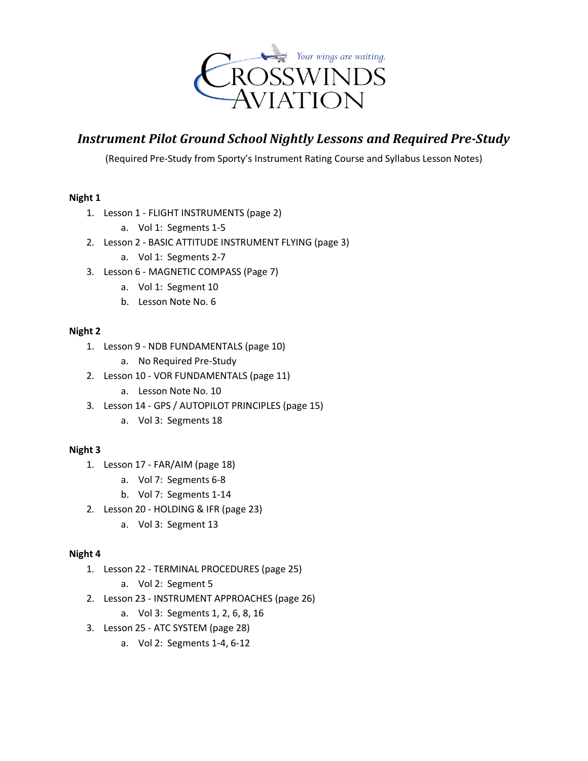

# *Instrument Pilot Ground School Nightly Lessons and Required Pre-Study*

(Required Pre-Study from Sporty's Instrument Rating Course and Syllabus Lesson Notes)

## **Night 1**

- 1. Lesson 1 FLIGHT INSTRUMENTS (page 2)
	- a. Vol 1: Segments 1-5
- 2. Lesson 2 BASIC ATTITUDE INSTRUMENT FLYING (page 3)
	- a. Vol 1: Segments 2-7
- 3. Lesson 6 MAGNETIC COMPASS (Page 7)
	- a. Vol 1: Segment 10
	- b. Lesson Note No. 6

## **Night 2**

- 1. Lesson 9 NDB FUNDAMENTALS (page 10)
	- a. No Required Pre-Study
- 2. Lesson 10 VOR FUNDAMENTALS (page 11)
	- a. Lesson Note No. 10
- 3. Lesson 14 GPS / AUTOPILOT PRINCIPLES (page 15)
	- a. Vol 3: Segments 18

## **Night 3**

- 1. Lesson 17 FAR/AIM (page 18)
	- a. Vol 7: Segments 6-8
	- b. Vol 7: Segments 1-14
- 2. Lesson 20 HOLDING & IFR (page 23)
	- a. Vol 3: Segment 13

## **Night 4**

- 1. Lesson 22 TERMINAL PROCEDURES (page 25)
	- a. Vol 2: Segment 5
- 2. Lesson 23 INSTRUMENT APPROACHES (page 26)
	- a. Vol 3: Segments 1, 2, 6, 8, 16
- 3. Lesson 25 ATC SYSTEM (page 28)
	- a. Vol 2: Segments 1-4, 6-12